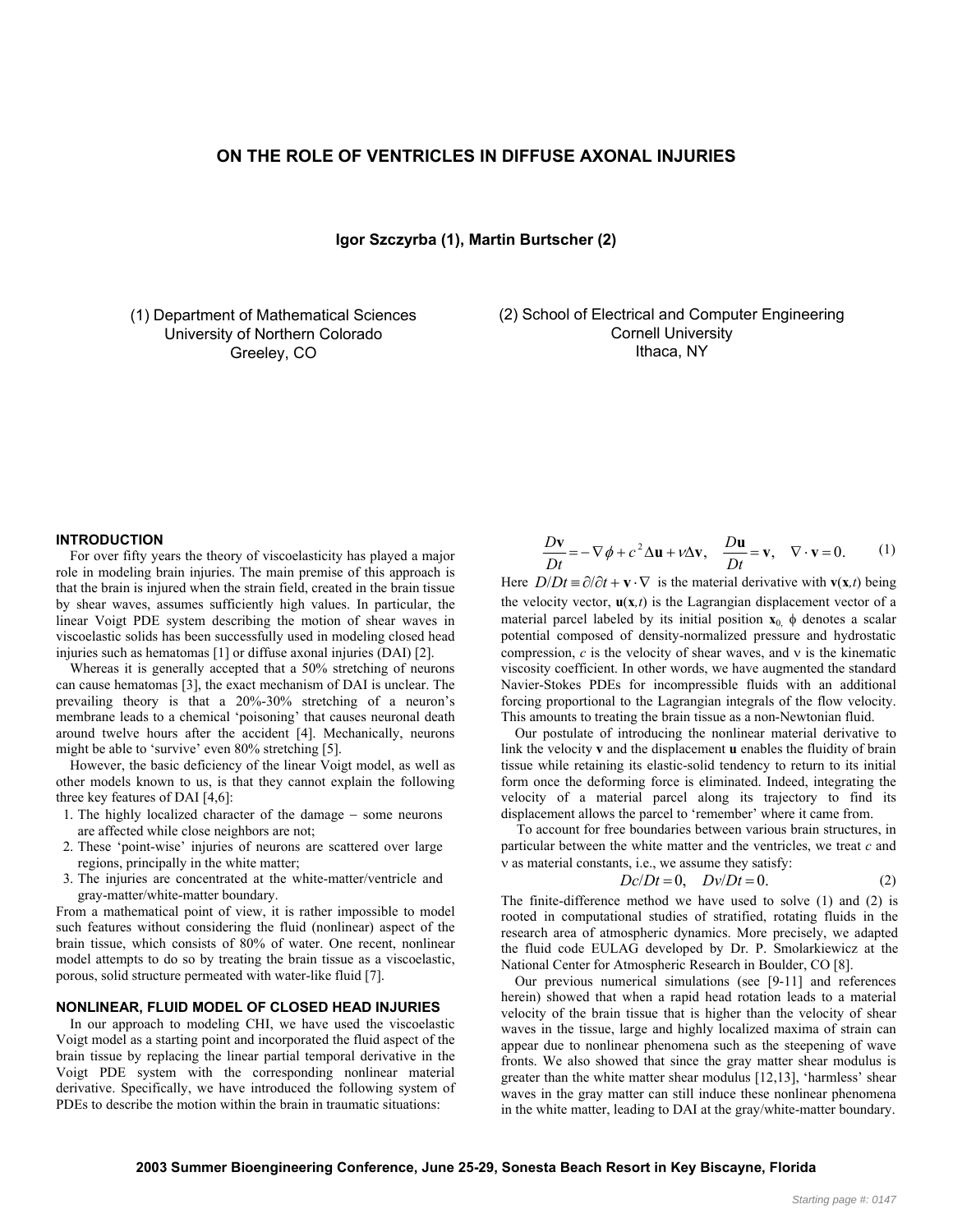# **ON THE ROLE OF VENTRICLES IN DIFFUSE AXONAL INJURIES**

**Igor Szczyrba (1), Martin Burtscher (2)** 

(1) Department of Mathematical Sciences University of Northern Colorado Greeley, CO

(2) School of Electrical and Computer Engineering Cornell University Ithaca, NY

## **INTRODUCTION**

 For over fifty years the theory of viscoelasticity has played a major role in modeling brain injuries. The main premise of this approach is that the brain is injured when the strain field, created in the brain tissue by shear waves, assumes sufficiently high values. In particular, the linear Voigt PDE system describing the motion of shear waves in viscoelastic solids has been successfully used in modeling closed head injuries such as hematomas [1] or diffuse axonal injuries (DAI) [2].

 Whereas it is generally accepted that a 50% stretching of neurons can cause hematomas [3], the exact mechanism of DAI is unclear. The prevailing theory is that a 20%-30% stretching of a neuron's membrane leads to a chemical 'poisoning' that causes neuronal death around twelve hours after the accident [4]. Mechanically, neurons might be able to 'survive' even 80% stretching [5].

 However, the basic deficiency of the linear Voigt model, as well as other models known to us, is that they cannot explain the following three key features of DAI [4,6]:

- 1. The highly localized character of the damage − some neurons are affected while close neighbors are not;
- 2. These 'point-wise' injuries of neurons are scattered over large regions, principally in the white matter;
- 3. The injuries are concentrated at the white-matter/ventricle and gray-matter/white-matter boundary.

From a mathematical point of view, it is rather impossible to model such features without considering the fluid (nonlinear) aspect of the brain tissue, which consists of 80% of water. One recent, nonlinear model attempts to do so by treating the brain tissue as a viscoelastic, porous, solid structure permeated with water-like fluid [7].

#### **NONLINEAR, FLUID MODEL OF CLOSED HEAD INJURIES**

 In our approach to modeling CHI, we have used the viscoelastic Voigt model as a starting point and incorporated the fluid aspect of the brain tissue by replacing the linear partial temporal derivative in the Voigt PDE system with the corresponding nonlinear material derivative. Specifically, we have introduced the following system of PDEs to describe the motion within the brain in traumatic situations:

$$
\frac{D\mathbf{v}}{Dt} = -\nabla\phi + c^2 \Delta \mathbf{u} + v\Delta \mathbf{v}, \quad \frac{D\mathbf{u}}{Dt} = \mathbf{v}, \quad \nabla \cdot \mathbf{v} = 0.
$$
 (1)

Here  $D/Dt = \partial/\partial t + \mathbf{v} \cdot \nabla$  is the material derivative with **v**(**x**,*t*) being the velocity vector,  $\mathbf{u}(\mathbf{x},t)$  is the Lagrangian displacement vector of a material parcel labeled by its initial position  $\mathbf{x}_0$   $\phi$  denotes a scalar potential composed of density-normalized pressure and hydrostatic compression, *c* is the velocity of shear waves, and ν is the kinematic viscosity coefficient. In other words, we have augmented the standard Navier-Stokes PDEs for incompressible fluids with an additional forcing proportional to the Lagrangian integrals of the flow velocity. This amounts to treating the brain tissue as a non-Newtonian fluid.

 Our postulate of introducing the nonlinear material derivative to link the velocity **v** and the displacement **u** enables the fluidity of brain tissue while retaining its elastic-solid tendency to return to its initial form once the deforming force is eliminated. Indeed, integrating the velocity of a material parcel along its trajectory to find its displacement allows the parcel to 'remember' where it came from.

 To account for free boundaries between various brain structures, in particular between the white matter and the ventricles, we treat *c* and ν as material constants, i.e., we assume they satisfy:

$$
Dc/Dt = 0, \quad Dv/Dt = 0. \tag{2}
$$

The finite-difference method we have used to solve (1) and (2) is rooted in computational studies of stratified, rotating fluids in the research area of atmospheric dynamics. More precisely, we adapted the fluid code EULAG developed by Dr. P. Smolarkiewicz at the National Center for Atmospheric Research in Boulder, CO [8].

 Our previous numerical simulations (see [9-11] and references herein) showed that when a rapid head rotation leads to a material velocity of the brain tissue that is higher than the velocity of shear waves in the tissue, large and highly localized maxima of strain can appear due to nonlinear phenomena such as the steepening of wave fronts. We also showed that since the gray matter shear modulus is greater than the white matter shear modulus [12,13], 'harmless' shear waves in the gray matter can still induce these nonlinear phenomena in the white matter, leading to DAI at the gray/white-matter boundary.